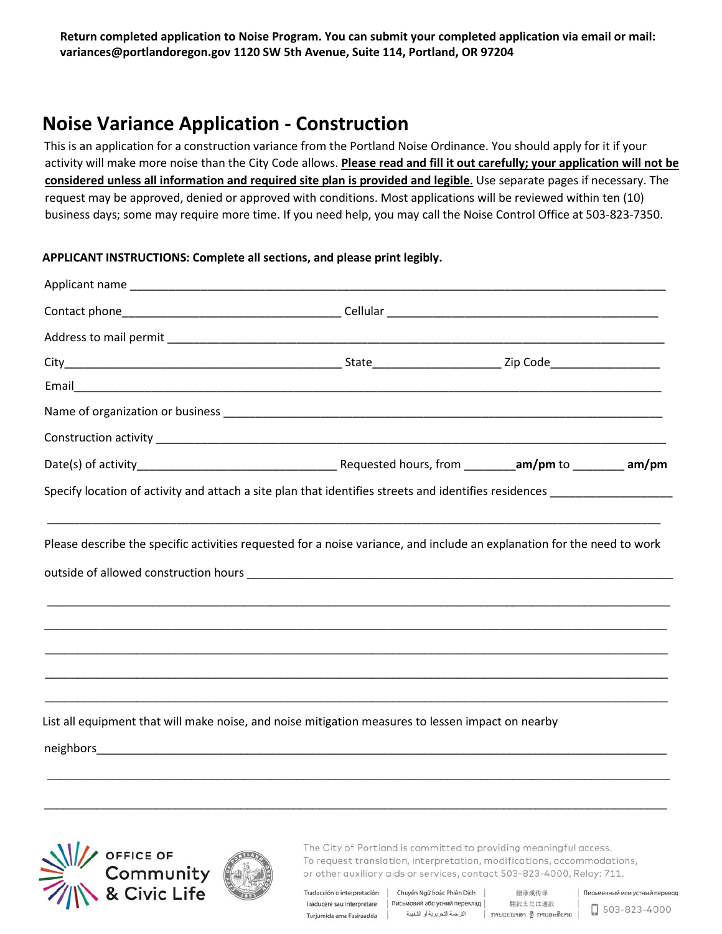**Return completed application to Noise Program. You can submit your completed application via email or mail: variances@portlandoregon.gov 1120 SW 5th Avenue, Suite 114, Portland, OR 97204**

## **Noise Variance Application - Construction**

This is an application for a construction variance from the Portland Noise Ordinance. You should apply for it if your activity will make more noise than the City Code allows. **Please read and fill it out carefully; your application will not be considered unless all information and required site plan is provided and legible**. Use separate pages if necessary. The request may be approved, denied or approved with conditions. Most applications will be reviewed within ten (10) business days; some may require more time. If you need help, you may call the Noise Control Office at 503-823-7350.

## **APPLICANT INSTRUCTIONS: Complete all sections, and please print legibly.**

| Specify location of activity and attach a site plan that identifies streets and identifies residences |  |  |
|-------------------------------------------------------------------------------------------------------|--|--|
|                                                                                                       |  |  |
| ,我们也不能在这里的时候,我们也不能在这里的时候,我们也不能不能不能不能不能不能不能不能不能不能不能不能不能不能。""我们,我们也不能不能不能不能不能不能不能不能                     |  |  |





The City of Portland is committed to providing meaningful access. To request translation, interpretation, modifications, accommodations, or other auxiliary aids or services, contact 503-823-4000, Relay: 711.

Traducción o interpretación | Chuyển Ngữ hoặc Phiên Dịch | Traducere sau Interpretare | Письмовий або усний переклад | Turjumida ama Fasiraadda | الترجمة التحريرية أو الشفهية | Turjumida ama Fasiraadda | الترجمة التحريرية أو الشفهية

翻译或传译 翻訳または通訳

 $\Box$  503-823-4000